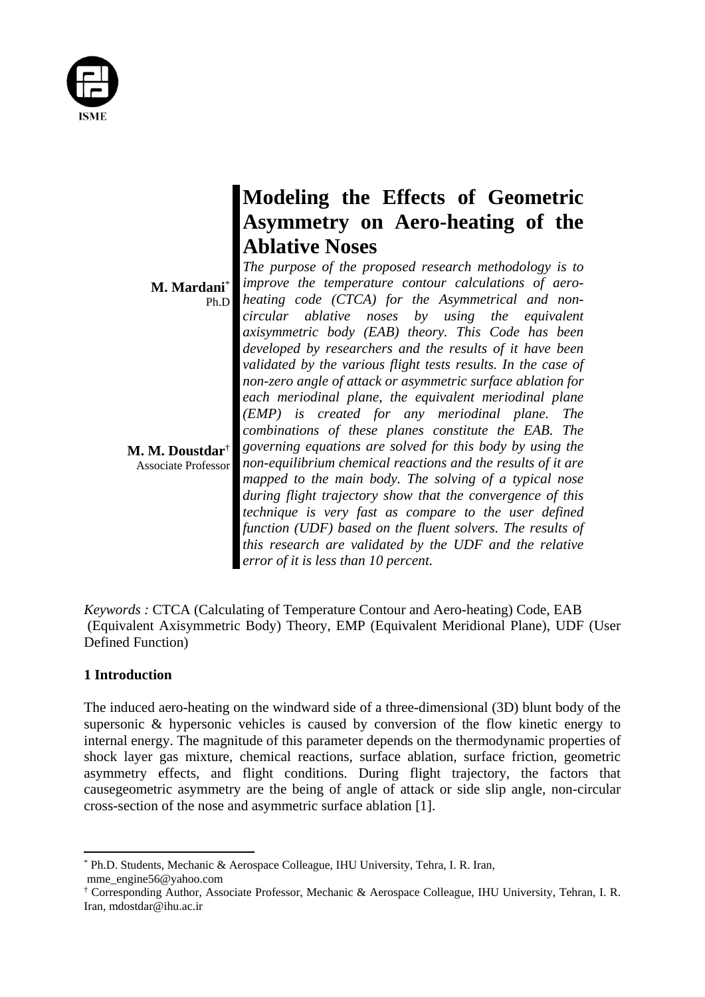

|                                                      | Modeling the Effects of Geometric                                                                                     |
|------------------------------------------------------|-----------------------------------------------------------------------------------------------------------------------|
|                                                      | Asymmetry on Aero-heating of the                                                                                      |
| M. Mardani*<br>Ph.D                                  | <b>Ablative Noses</b>                                                                                                 |
|                                                      | The purpose of the proposed research methodology is to                                                                |
|                                                      | improve the temperature contour calculations of aero-<br>heating code (CTCA) for the Asymmetrical and non-            |
|                                                      | circular ablative noses by using the equivalent                                                                       |
|                                                      | axisymmetric body (EAB) theory. This Code has been<br>developed by researchers and the results of it have been        |
| <b>M. M. Doustdar†</b><br><b>Associate Professor</b> | validated by the various flight tests results. In the case of                                                         |
|                                                      | non-zero angle of attack or asymmetric surface ablation for<br>each meriodinal plane, the equivalent meriodinal plane |
|                                                      | (EMP) is created for any meriodinal plane. The                                                                        |
|                                                      | combinations of these planes constitute the EAB. The<br>governing equations are solved for this body by using the     |
|                                                      | non-equilibrium chemical reactions and the results of it are                                                          |
|                                                      | mapped to the main body. The solving of a typical nose<br>during flight trajectory show that the convergence of this  |
|                                                      | technique is very fast as compare to the user defined                                                                 |
|                                                      | function (UDF) based on the fluent solvers. The results of<br>this research are validated by the UDF and the relative |
|                                                      | error of it is less than 10 percent.                                                                                  |

*Keywords :* CTCA (Calculating of Temperature Contour and Aero-heating) Code, EAB (Equivalent Axisymmetric Body) Theory, EMP (Equivalent Meridional Plane), UDF (User Defined Function)

# **1 Introduction**

The induced aero-heating on the windward side of a three-dimensional (3D) blunt body of the supersonic & hypersonic vehicles is caused by conversion of the flow kinetic energy to internal energy. The magnitude of this parameter depends on the thermodynamic properties of shock layer gas mixture, chemical reactions, surface ablation, surface friction, geometric asymmetry effects, and flight conditions. During flight trajectory, the factors that causegeometric asymmetry are the being of angle of attack or side slip angle, non-circular cross-section of the nose and asymmetric surface ablation [1].

<sup>\*</sup> Ph.D. Students, Mechanic & Aerospace Colleague, IHU University, Tehra, I. R. Iran, mme\_engine56@yahoo.com

<sup>†</sup> Corresponding Author, Associate Professor, Mechanic & Aerospace Colleague, IHU University, Tehran, I. R. Iran, mdostdar@ihu.ac.ir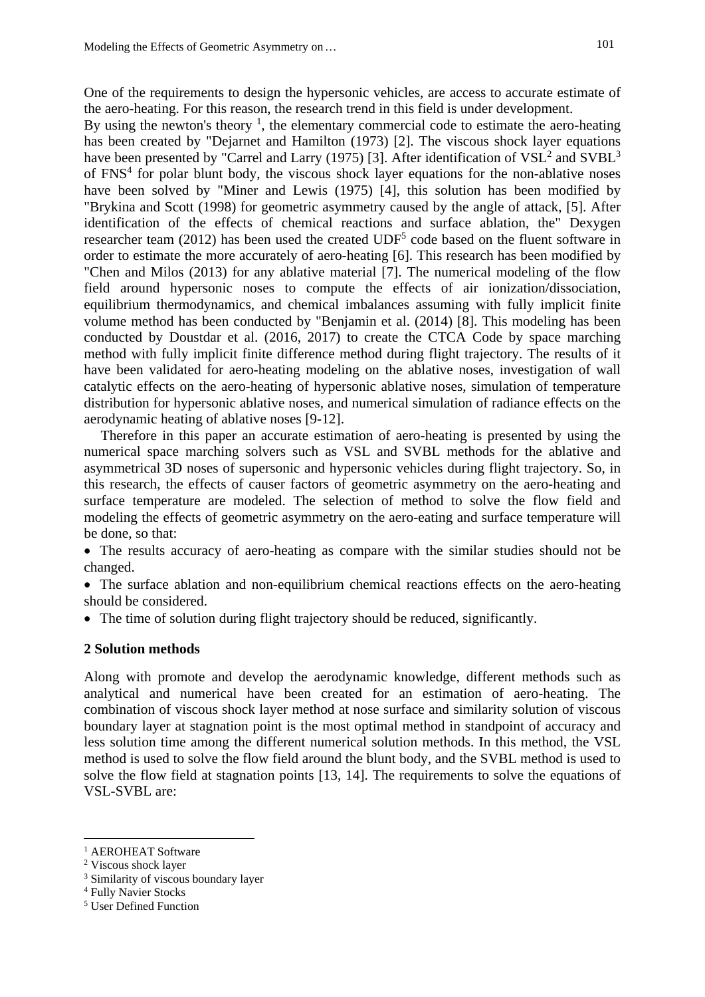One of the requirements to design the hypersonic vehicles, are access to accurate estimate of the aero-heating. For this reason, the research trend in this field is under development.

By using the newton's theory  $\frac{1}{1}$ , the elementary commercial code to estimate the aero-heating has been created by "Dejarnet and Hamilton (1973) [2]. The viscous shock layer equations have been presented by "Carrel and Larry (1975) [3]. After identification of  $VSL<sup>2</sup>$  and  $SVBL<sup>3</sup>$ of FNS<sup>4</sup> for polar blunt body, the viscous shock layer equations for the non-ablative noses have been solved by "Miner and Lewis (1975) [4], this solution has been modified by "Brykina and Scott (1998) for geometric asymmetry caused by the angle of attack, [5]. After identification of the effects of chemical reactions and surface ablation, the" Dexygen researcher team  $(2012)$  has been used the created  $UDF<sup>5</sup>$  code based on the fluent software in order to estimate the more accurately of aero-heating [6]. This research has been modified by "Chen and Milos (2013) for any ablative material [7]. The numerical modeling of the flow field around hypersonic noses to compute the effects of air ionization/dissociation, equilibrium thermodynamics, and chemical imbalances assuming with fully implicit finite volume method has been conducted by "Benjamin et al. (2014) [8]. This modeling has been conducted by Doustdar et al. (2016, 2017) to create the CTCA Code by space marching method with fully implicit finite difference method during flight trajectory. The results of it have been validated for aero-heating modeling on the ablative noses, investigation of wall catalytic effects on the aero-heating of hypersonic ablative noses, simulation of temperature distribution for hypersonic ablative noses, and numerical simulation of radiance effects on the aerodynamic heating of ablative noses [9-12].

Therefore in this paper an accurate estimation of aero-heating is presented by using the numerical space marching solvers such as VSL and SVBL methods for the ablative and asymmetrical 3D noses of supersonic and hypersonic vehicles during flight trajectory. So, in this research, the effects of causer factors of geometric asymmetry on the aero-heating and surface temperature are modeled. The selection of method to solve the flow field and modeling the effects of geometric asymmetry on the aero-eating and surface temperature will be done, so that:

 The results accuracy of aero-heating as compare with the similar studies should not be changed.

 The surface ablation and non-equilibrium chemical reactions effects on the aero-heating should be considered.

The time of solution during flight trajectory should be reduced, significantly.

# **2 Solution methods**

Along with promote and develop the aerodynamic knowledge, different methods such as analytical and numerical have been created for an estimation of aero-heating. The combination of viscous shock layer method at nose surface and similarity solution of viscous boundary layer at stagnation point is the most optimal method in standpoint of accuracy and less solution time among the different numerical solution methods. In this method, the VSL method is used to solve the flow field around the blunt body, and the SVBL method is used to solve the flow field at stagnation points [13, 14]. The requirements to solve the equations of VSL-SVBL are:

<sup>&</sup>lt;sup>1</sup> AEROHEAT Software

<sup>2</sup> Viscous shock layer

<sup>3</sup> Similarity of viscous boundary layer

<sup>4</sup> Fully Navier Stocks

<sup>5</sup> User Defined Function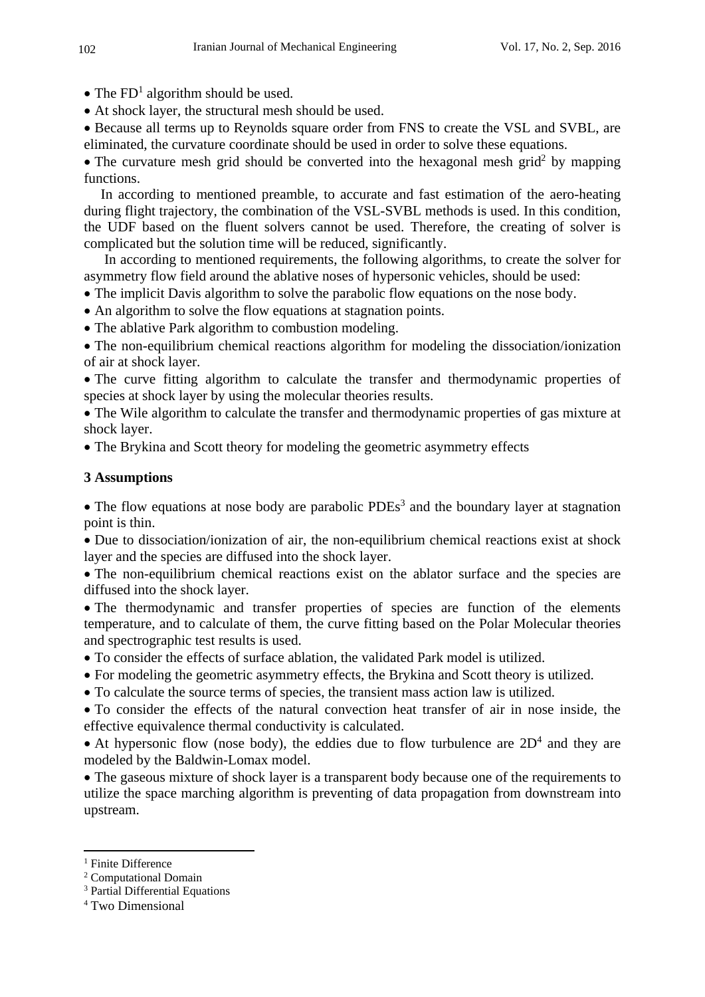- The  $FD<sup>1</sup>$  algorithm should be used.
- At shock layer, the structural mesh should be used.

 Because all terms up to Reynolds square order from FNS to create the VSL and SVBL, are eliminated, the curvature coordinate should be used in order to solve these equations.

• The curvature mesh grid should be converted into the hexagonal mesh grid<sup>2</sup> by mapping functions.

In according to mentioned preamble, to accurate and fast estimation of the aero-heating during flight trajectory, the combination of the VSL-SVBL methods is used. In this condition, the UDF based on the fluent solvers cannot be used. Therefore, the creating of solver is complicated but the solution time will be reduced, significantly.

 In according to mentioned requirements, the following algorithms, to create the solver for asymmetry flow field around the ablative noses of hypersonic vehicles, should be used:

- The implicit Davis algorithm to solve the parabolic flow equations on the nose body.
- An algorithm to solve the flow equations at stagnation points.
- The ablative Park algorithm to combustion modeling.

 The non-equilibrium chemical reactions algorithm for modeling the dissociation/ionization of air at shock layer.

 The curve fitting algorithm to calculate the transfer and thermodynamic properties of species at shock layer by using the molecular theories results.

 The Wile algorithm to calculate the transfer and thermodynamic properties of gas mixture at shock layer.

The Brykina and Scott theory for modeling the geometric asymmetry effects

# **3 Assumptions**

• The flow equations at nose body are parabolic  $PDEs<sup>3</sup>$  and the boundary layer at stagnation point is thin.

 Due to dissociation/ionization of air, the non-equilibrium chemical reactions exist at shock layer and the species are diffused into the shock layer.

 The non-equilibrium chemical reactions exist on the ablator surface and the species are diffused into the shock layer.

 The thermodynamic and transfer properties of species are function of the elements temperature, and to calculate of them, the curve fitting based on the Polar Molecular theories and spectrographic test results is used.

- To consider the effects of surface ablation, the validated Park model is utilized.
- For modeling the geometric asymmetry effects, the Brykina and Scott theory is utilized.
- To calculate the source terms of species, the transient mass action law is utilized.
- To consider the effects of the natural convection heat transfer of air in nose inside, the effective equivalence thermal conductivity is calculated.

• At hypersonic flow (nose body), the eddies due to flow turbulence are  $2D<sup>4</sup>$  and they are modeled by the Baldwin-Lomax model.

 The gaseous mixture of shock layer is a transparent body because one of the requirements to utilize the space marching algorithm is preventing of data propagation from downstream into upstream.

<sup>&</sup>lt;sup>1</sup> Finite Difference

<sup>2</sup> Computational Domain

<sup>3</sup> Partial Differential Equations

<sup>4</sup> Two Dimensional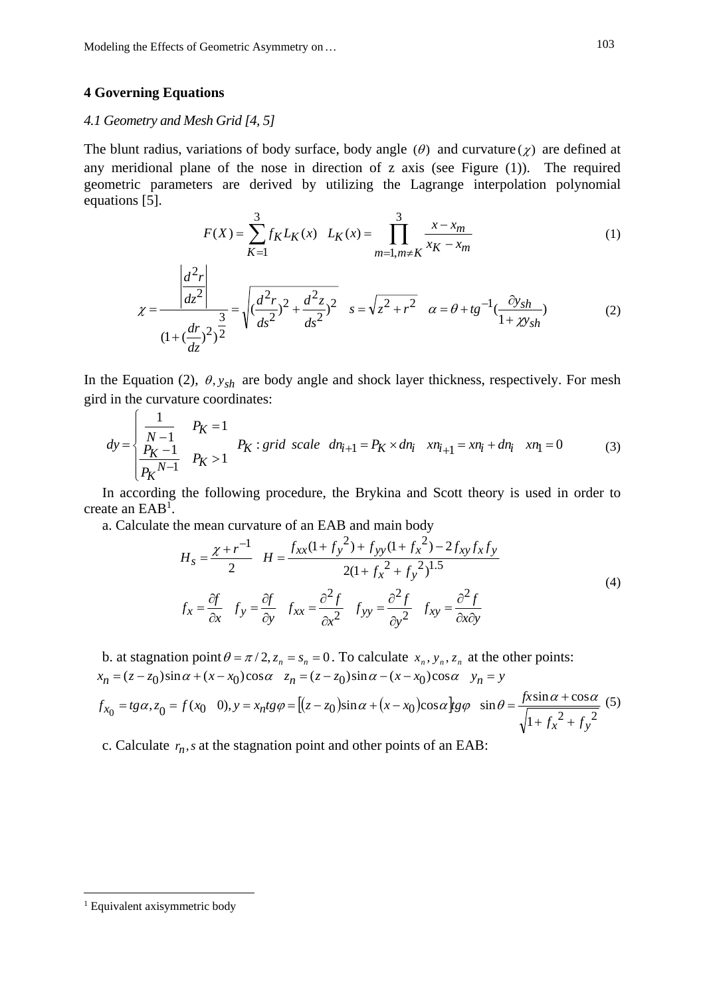## **4 Governing Equations**

# *4.1 Geometry and Mesh Grid [4, 5]*

The blunt radius, variations of body surface, body angle ( $\theta$ ) and curvature ( $\chi$ ) are defined at any meridional plane of the nose in direction of z axis (see Figure (1)). The required geometric parameters are derived by utilizing the Lagrange interpolation polynomial equations [5].

$$
F(X) = \sum_{K=1}^{3} f_K L_K(x) \quad L_K(x) = \prod_{m=1, m \neq K}^{3} \frac{x - x_m}{x_K - x_m}
$$
(1)

$$
\chi = \frac{\left| \frac{d^2 r}{dz^2} \right|}{\left(1 + \left(\frac{dr}{dz}\right)^2\right)^{\frac{3}{2}}} = \sqrt{\left(\frac{d^2 r}{ds^2}\right)^2 + \frac{d^2 z}{ds^2}\right)^2} \quad s = \sqrt{z^2 + r^2} \quad \alpha = \theta + t g^{-1} \left(\frac{\partial y_{sh}}{1 + \chi y_{sh}}\right) \tag{2}
$$

In the Equation (2),  $\theta$ ,  $y_{sh}$  are body angle and shock layer thickness, respectively. For mesh gird in the curvature coordinates:

$$
dy = \begin{cases} \frac{1}{N-1} & P_K = 1\\ \frac{P_K - 1}{P_K^{N-1}} & P_K > 1 \end{cases}
$$
  $P_K : grid \ scale \ dn_{i+1} = P_K \times dn_i$   $xn_{i+1} = xn_i + dn_i$   $xn_1 = 0$  (3)

In according the following procedure, the Brykina and Scott theory is used in order to create an  $EAB<sup>1</sup>$ .

a. Calculate the mean curvature of an EAB and main body

$$
H_s = \frac{\chi + r^{-1}}{2} \quad H = \frac{f_{xx}(1 + f_y^2) + f_{yy}(1 + f_x^2) - 2f_{xy}f_xf_y}{2(1 + f_x^2 + f_y^2)^{1.5}}
$$
  

$$
f_x = \frac{\partial f}{\partial x} \quad f_y = \frac{\partial f}{\partial y} \quad f_{xx} = \frac{\partial^2 f}{\partial x^2} \quad f_{yy} = \frac{\partial^2 f}{\partial y^2} \quad f_{xy} = \frac{\partial^2 f}{\partial x \partial y}
$$
 (4)

b. at stagnation point  $\theta = \pi/2$ ,  $z_n = s_n = 0$ . To calculate  $x_n$ ,  $y_n$ ,  $z_n$  at the other points:  $x_n = (z - z_0)\sin\alpha + (x - x_0)\cos\alpha$   $z_n = (z - z_0)\sin\alpha - (x - x_0)\cos\alpha$   $y_n = y$ 

$$
f_{x_0} = t g \alpha, z_0 = f(x_0 \quad 0), y = x_n t g \varphi = \left[ (z - z_0) \sin \alpha + (x - x_0) \cos \alpha \right] g \varphi \quad \sin \theta = \frac{f x \sin \alpha + \cos \alpha}{\sqrt{1 + f_x^2 + f_y^2}} \tag{5}
$$

c. Calculate  $r_n$ , s at the stagnation point and other points of an EAB:

<sup>&</sup>lt;sup>1</sup> Equivalent axisymmetric body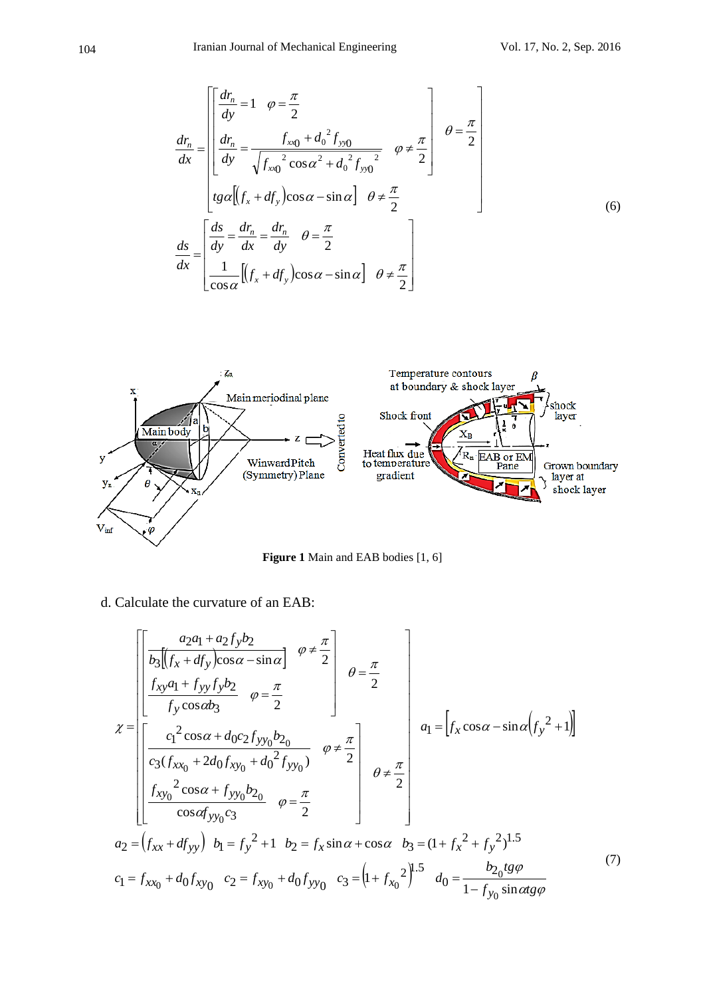$$
\frac{d r_n}{dx} = \begin{bmatrix} \frac{dr_n}{dy} = 1 & \varphi = \frac{\pi}{2} \\ \frac{dr_n}{dy} = \frac{f_{x0} + d_0^2 f_{y0}}{\sqrt{f_{x0}^2 \cos \alpha^2 + d_0^2 f_{y0}^2}} & \varphi \neq \frac{\pi}{2} \\ tg \alpha [(f_x + df_y) \cos \alpha - \sin \alpha] & \varphi \neq \frac{\pi}{2} \end{bmatrix} \quad \theta = \frac{\pi}{2}
$$
\n
$$
\frac{ds}{dx} = \begin{bmatrix} \frac{ds}{dy} = \frac{dr_n}{dx} = \frac{dr_n}{dy} & \varphi = \frac{\pi}{2} \\ \frac{1}{\cos \alpha} [(f_x + df_y) \cos \alpha - \sin \alpha] & \varphi \neq \frac{\pi}{2} \end{bmatrix}
$$
\n(6)



Figure 1 Main and EAB bodies [1, 6]

d. Calculate the curvature of an EAB:

$$
\chi = \begin{bmatrix} \frac{a_2a_1 + a_2f_yb_2}{b_3[(f_x + df_y)\cos\alpha - \sin\alpha]} & \frac{\varphi \neq \frac{\pi}{2}}{b_3} \\ \frac{f_{xy}a_1 + f_{yy}f_yb_2}{f_y\cos\alpha b_3} & \varphi = \frac{\pi}{2} \end{bmatrix} \quad \theta = \frac{\pi}{2} \\ \chi = \begin{bmatrix} c_1^2 \cos\alpha + d_0c_2f_{yy_0}b_2 \\ \frac{c_3(f_{xx_0} + 2d_0f_{xy_0} + d_0^2f_{yy_0})}{c_3(f_{xx_0} + 2d_0f_{xy_0} + d_0^2f_{yy_0})} & \frac{\varphi \neq \frac{\pi}{2}}{b_3} \\ \frac{f_{xy_0}^2 \cos\alpha + f_{yy_0}b_2}{\cos\alpha f_{yy_0}c_3} & \varphi = \frac{\pi}{2} \end{bmatrix} \quad \theta \neq \frac{\pi}{2} \\ \theta = \begin{bmatrix} a_1 + a_2^2 + a_3^2 + a_4^2 \\ a_2 = (f_{xx} + df_{yy}) & b_1 = f_y^2 + 1 & b_2 = f_x \sin\alpha + \cos\alpha & b_3 = (1 + f_x^2 + f_y^2)^{1.5} \\ c_1 = f_{xx_0} + d_0f_{xy_0} & c_2 = f_{xy_0} + d_0f_{yy_0} & c_3 = (1 + f_{xy_0}^2)^{1.5} & d_0 = \frac{b_2}{1 - f_{yy_0} \sin\alpha t} \\ \frac{b_2}{a_3} & \frac{b_3}{a_3} & \frac{b_3}{a_3} & \frac{b_3}{a_3} & \frac{b_3}{a_3} & \frac{b_3}{a_3} \\ \frac{c_3}{a_3} & \frac{c_3}{a_3} & \frac{c_3}{a_3} & \frac{c_3}{a_3} & \frac{c_3}{a_3} & \frac{c_3}{a_3} & \frac{c_3}{a_3} \\ \frac{c_3}{a_3} & \frac{c_3}{a_3} & \frac{c_3}{a_3} & \frac{c_3}{a_3} & \frac{c_3}{a_3} & \frac{c_3}{a_3} & \frac{c_3}{a_3} \\ \
$$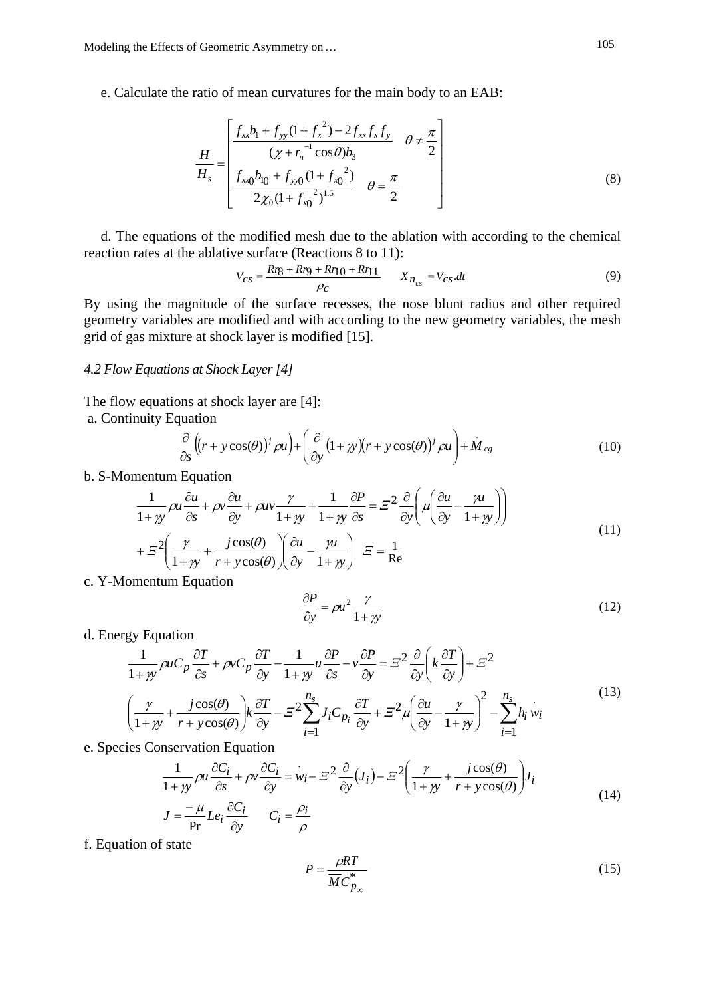e. Calculate the ratio of mean curvatures for the main body to an EAB:

$$
\frac{H}{H_s} = \begin{bmatrix} \frac{f_{xx}b_1 + f_{yy}(1 + f_x^2) - 2f_{xx}f_xf_y}{(\chi + r_n^{-1}\cos\theta)b_3} & \theta \neq \frac{\pi}{2} \\ \frac{f_{xx0}b_{10} + f_{yy0}(1 + f_{x0}^2)}{2\chi_0(1 + f_{x0}^2)^{1.5}} & \theta = \frac{\pi}{2} \end{bmatrix}
$$
\n(8)

d. The equations of the modified mesh due to the ablation with according to the chemical reaction rates at the ablative surface (Reactions 8 to 11):

$$
V_{CS} = \frac{Rr_8 + Rr_9 + Rr_{10} + Rr_{11}}{\rho_c} \qquad X_{n_{cs}} = V_{CS} dt
$$
 (9)

By using the magnitude of the surface recesses, the nose blunt radius and other required geometry variables are modified and with according to the new geometry variables, the mesh grid of gas mixture at shock layer is modified [15].

# *4.2 Flow Equations at Shock Layer [4]*

The flow equations at shock layer are [4]:

a. Continuity Equation

$$
\frac{\partial}{\partial s} \left( (r + y \cos(\theta))^j \, \rho u \right) + \left( \frac{\partial}{\partial y} (1 + y)(r + y \cos(\theta))^j \, \rho u \right) + M_{cg} \tag{10}
$$

b. S-Momentum Equation

$$
\frac{1}{1+y} \rho u \frac{\partial u}{\partial s} + \rho v \frac{\partial u}{\partial y} + \rho u v \frac{\gamma}{1+y} + \frac{1}{1+y} \frac{\partial P}{\partial s} = \Xi^2 \frac{\partial}{\partial y} \left( \mu \left( \frac{\partial u}{\partial y} - \frac{\mu}{1+y} \right) \right)
$$
  
+  $\Xi^2 \left( \frac{\gamma}{1+y} + \frac{j \cos(\theta)}{r + y \cos(\theta)} \right) \left( \frac{\partial u}{\partial y} - \frac{\mu}{1+y} \right) \quad \Xi = \frac{1}{Re}$  (11)

c. Y-Momentum Equation

$$
\frac{\partial P}{\partial y} = \rho u^2 \frac{\gamma}{1 + \gamma y} \tag{12}
$$

d. Energy Equation

$$
\frac{1}{1+y} \rho u C_p \frac{\partial T}{\partial s} + \rho v C_p \frac{\partial T}{\partial y} - \frac{1}{1+y} u \frac{\partial P}{\partial s} - v \frac{\partial P}{\partial y} = \Xi^2 \frac{\partial}{\partial y} \left( k \frac{\partial T}{\partial y} \right) + \Xi^2
$$
\n
$$
\left( \frac{\gamma}{1+y} + \frac{j \cos(\theta)}{r + y \cos(\theta)} \right) k \frac{\partial T}{\partial y} - \Xi^2 \sum_{i=1}^{n_s} J_i C_{p_i} \frac{\partial T}{\partial y} + \Xi^2 \mu \left( \frac{\partial u}{\partial y} - \frac{\gamma}{1+y} \right)^2 - \sum_{i=1}^{n_s} h_i w_i
$$
\n(13)

e. Species Conservation Equation

$$
\frac{1}{1+\gamma y} \rho u \frac{\partial C_i}{\partial s} + \rho v \frac{\partial C_i}{\partial y} = \dot{w}_i - \Xi^2 \frac{\partial}{\partial y} (J_i) - \Xi^2 \left( \frac{\gamma}{1+\gamma y} + \frac{j \cos(\theta)}{r + y \cos(\theta)} \right) J_i
$$
\n
$$
I = \mu I \frac{\partial C_i}{\partial y} \frac{\partial C_i}{\partial z} + \frac{\partial C_i}{\partial z} \frac{\partial C_i}{\partial z} \frac{\partial C_i}{\partial z} \frac{\partial C_i}{\partial z} \frac{\partial C_i}{\partial z} \frac{\partial C_i}{\partial z} \frac{\partial C_i}{\partial z} \frac{\partial C_i}{\partial z} \frac{\partial C_i}{\partial z} \frac{\partial C_i}{\partial z} \frac{\partial C_i}{\partial z} \frac{\partial C_i}{\partial z} \frac{\partial C_i}{\partial z} \frac{\partial C_i}{\partial z} \frac{\partial C_i}{\partial z} \frac{\partial C_i}{\partial z} \frac{\partial C_i}{\partial z} \frac{\partial C_i}{\partial z} \frac{\partial C_i}{\partial z} \frac{\partial C_i}{\partial z} \frac{\partial C_i}{\partial z} \frac{\partial C_i}{\partial z} \frac{\partial C_i}{\partial z} \frac{\partial C_i}{\partial z} \frac{\partial C_i}{\partial z} \frac{\partial C_i}{\partial z} \frac{\partial C_i}{\partial z} \frac{\partial C_i}{\partial z} \frac{\partial C_i}{\partial z} \frac{\partial C_i}{\partial z} \frac{\partial C_i}{\partial z} \frac{\partial C_i}{\partial z} \frac{\partial C_i}{\partial z} \frac{\partial C_i}{\partial z} \frac{\partial C_i}{\partial z} \frac{\partial C_i}{\partial z} \frac{\partial C_i}{\partial z} \frac{\partial C_i}{\partial z} \frac{\partial C_i}{\partial z} \frac{\partial C_i}{\partial z} \frac{\partial C_i}{\partial z} \frac{\partial C_i}{\partial z} \frac{\partial C_i}{\partial z} \frac{\partial C_i}{\partial z} \frac{\partial C_i}{\partial z} \frac{\partial C_i}{\partial z} \frac{\partial C_i}{\partial z} \frac{\partial C_i}{\partial z} \frac{\partial C_i}{\partial z} \frac{\partial C_i}{\partial z} \frac{\partial C_i}{\partial z} \frac{\partial C_i}{\partial z} \frac{\partial C_i}{\partial z} \frac{\partial C_i}{\partial z} \frac{\partial C_i}{\partial z} \frac{\partial C_i}{\partial z} \
$$

$$
J = \frac{-\mu}{\text{Pr}} L e_i \frac{\partial C_i}{\partial y} \qquad C_i = \frac{\rho_i}{\rho}
$$

f. Equation of state

$$
P = \frac{\rho RT}{\overline{MC}_{p_{\infty}}^*}
$$
 (15)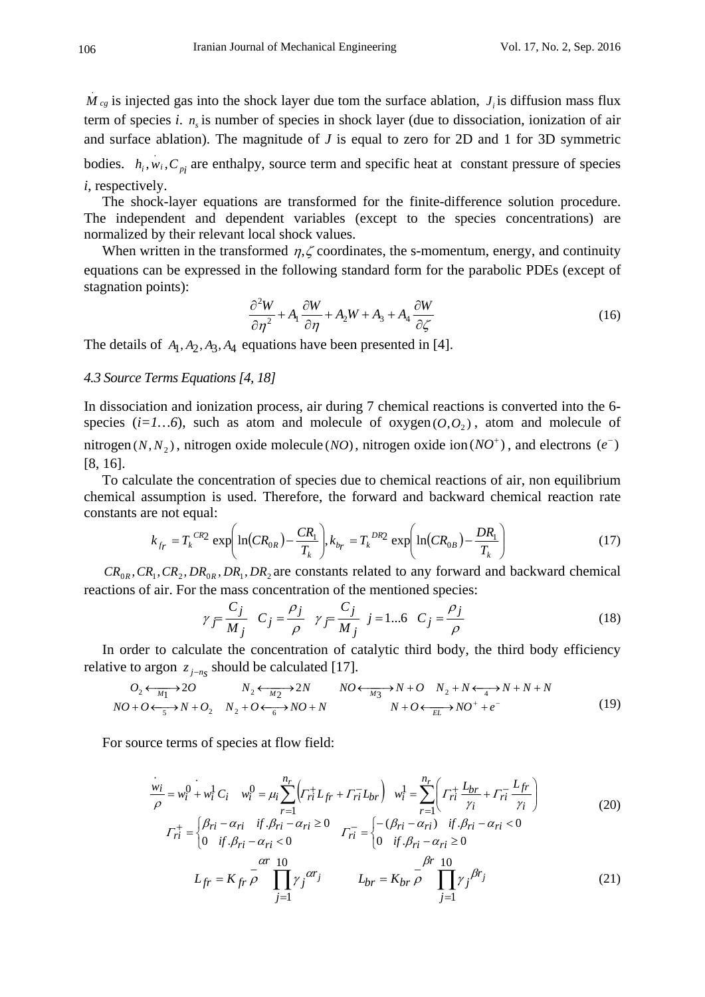$M_{cg}$  is injected gas into the shock layer due tom the surface ablation,  $J_i$  is diffusion mass flux . term of species *i*.  $n<sub>s</sub>$  is number of species in shock layer (due to dissociation, ionization of air and surface ablation). The magnitude of  $J$  is equal to zero for 2D and 1 for 3D symmetric

bodies.  $h_i$ ,  $w_i$ ,  $C_{pi}$  are enthalpy, source term and specific heat at constant pressure of species *i*, respectively.

The shock-layer equations are transformed for the finite-difference solution procedure. The independent and dependent variables (except to the species concentrations) are normalized by their relevant local shock values.

When written in the transformed  $\eta$ ,  $\zeta$  coordinates, the s-momentum, energy, and continuity equations can be expressed in the following standard form for the parabolic PDEs (except of stagnation points):

$$
\frac{\partial^2 W}{\partial \eta^2} + A_1 \frac{\partial W}{\partial \eta} + A_2 W + A_3 + A_4 \frac{\partial W}{\partial \zeta}
$$
\n(16)

The details of  $A_1, A_2, A_3, A_4$  equations have been presented in [4].

#### *4.3 Source Terms Equations [4, 18]*

In dissociation and ionization process, air during 7 chemical reactions is converted into the 6 species  $(i=1...6)$ , such as atom and molecule of oxygen  $(0, 0)$ , atom and molecule of nitrogen ( $N, N_2$ ), nitrogen oxide molecule ( $NO$ ), nitrogen oxide ion ( $NO^+$ ), and electrons ( $e^-$ ) [8, 16].

To calculate the concentration of species due to chemical reactions of air, non equilibrium chemical assumption is used. Therefore, the forward and backward chemical reaction rate constants are not equal:

$$
k_{f_r} = T_k^{CR2} \exp\left(\ln(CR_{0R}) - \frac{CR_1}{T_k}\right), k_{b_r} = T_k^{DR2} \exp\left(\ln(CR_{0B}) - \frac{DR_1}{T_k}\right) \tag{17}
$$

 $CR_{0R}$ ,  $CR_1$ ,  $CR_2$ ,  $DR_{0R}$ ,  $DR_1$ ,  $DR_2$  are constants related to any forward and backward chemical reactions of air. For the mass concentration of the mentioned species:

$$
\gamma_{\overline{f}} \frac{C_j}{M_j} \quad C_j = \frac{\rho_j}{\rho} \quad \gamma_{\overline{f}} \frac{C_j}{M_j} \quad j = 1...6 \quad C_j = \frac{\rho_j}{\rho} \tag{18}
$$

In order to calculate the concentration of catalytic third body, the third body efficiency relative to argon  $z_{i-n_s}$  should be calculated [17].

$$
O_2 \leftarrow_{M_1} 2O \qquad N_2 \leftarrow_{M_2} 2N \qquad NO \leftarrow_{M_3} 2N + O \qquad N_2 + N \leftarrow_4 2N + N + N
$$
  

$$
NO + O \leftarrow_5 2N + O_2 \qquad N_2 + O \leftarrow_6 2N + O + N \qquad N + O \leftarrow_{EL} 2N + O + e^-
$$
 (19)

For source terms of species at flow field:

$$
\frac{w_i}{\rho} = w_i^0 + w_i^1 C_i \t w_i^0 = \mu_i \sum_{r=1}^{n_r} \left( \Gamma_{ri}^+ L_{fr} + \Gamma_{ri}^- L_{br} \right) \t w_i^1 = \sum_{r=1}^{n_r} \left( \Gamma_{ri}^+ \frac{L_{br}}{\gamma_i} + \Gamma_{ri}^- \frac{L_{fr}}{\gamma_i} \right)
$$
  

$$
\Gamma_{ri}^+ = \begin{cases} \beta_{ri} - \alpha_{ri} & \text{if } \beta_{ri} - \alpha_{ri} \ge 0 \\ 0 & \text{if } \beta_{ri} - \alpha_{ri} < 0 \end{cases} \qquad \Gamma_{ri}^- = \begin{cases} -(\beta_{ri} - \alpha_{ri}) & \text{if } \beta_{ri} - \alpha_{ri} < 0 \\ 0 & \text{if } \beta_{ri} - \alpha_{ri} \ge 0 \end{cases} \qquad (20)
$$
  

$$
- \frac{\alpha r}{\rho} = \frac{\beta r}{\rho} \frac{10}{\rho} \qquad (20)
$$

$$
L_{fr} = K_{fr} \frac{1}{\rho} \prod_{j=1}^{ar} \gamma_j^{ar_j} \qquad L_{br} = K_{br} \frac{1}{\rho} \prod_{j=1}^{pr} \gamma_j^{br_j} \tag{21}
$$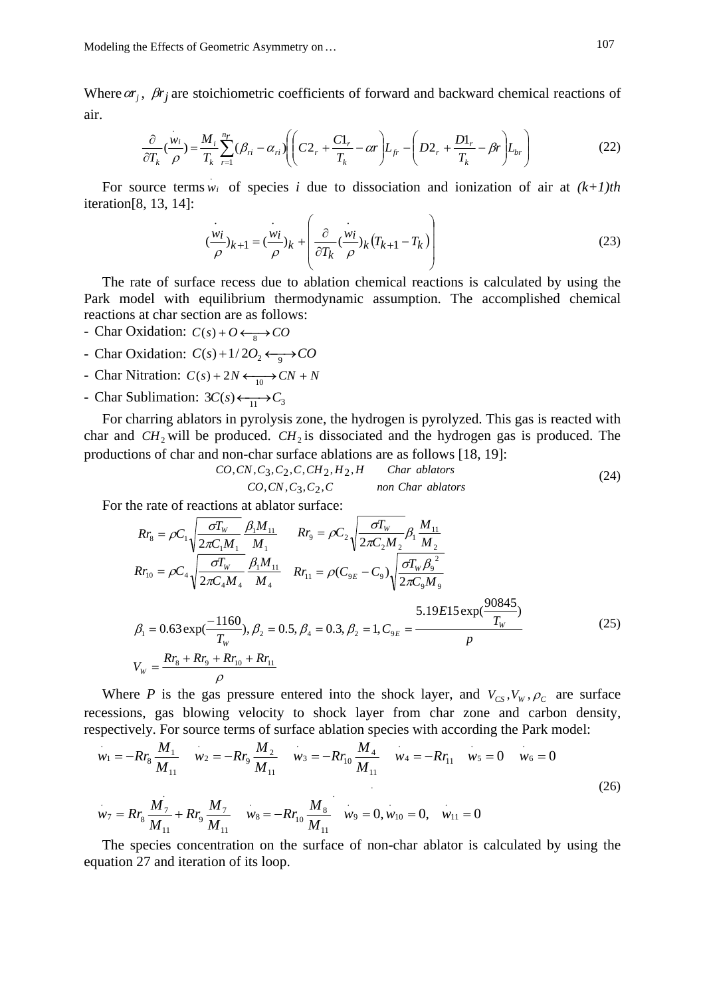Modeling the Effects of Geometric Asymmetry on ... 107

Where  $ar_j$ ,  $\beta r_j$  are stoichiometric coefficients of forward and backward chemical reactions of air.

$$
\frac{\partial}{\partial T_k}(\frac{w_i}{\rho}) = \frac{M_i}{T_k} \sum_{r=1}^{n_r} (\beta_{ri} - \alpha_{ri}) \left( \left( C2_r + \frac{C1_r}{T_k} - \alpha r \right) L_{fr} - \left( D2_r + \frac{D1_r}{T_k} - \beta r \right) L_{br} \right) \tag{22}
$$

For source terms  $w_i$  of species *i* due to dissociation and ionization of air at  $(k+1)$ th iteration[8, 13, 14]:

$$
(\frac{w_i}{\rho})_{k+1} = (\frac{w_i}{\rho})_k + \left(\frac{\partial}{\partial T_k}(\frac{w_i}{\rho})_k(T_{k+1} - T_k)\right)
$$
(23)

The rate of surface recess due to ablation chemical reactions is calculated by using the Park model with equilibrium thermodynamic assumption. The accomplished chemical reactions at char section are as follows:

- Char Oxidation:  $C(s) + O \longleftrightarrow CO$
- Char Oxidation:  $C(s) + 1/2O_2 \longleftrightarrow CO$
- Char Nitration:  $C(s) + 2N \leftarrow 0$  /  $CN + N$
- Char Sublimation:  $3C(s) \leftarrow_{11} C_3$

For charring ablators in pyrolysis zone, the hydrogen is pyrolyzed. This gas is reacted with char and  $CH_2$  will be produced.  $CH_2$  is dissociated and the hydrogen gas is produced. The productions of char and non-char surface ablations are as follows [18, 19]:

$$
CO, CN, C_3, C_2, C, CH_2, H_2, H
$$
 *Char ablators*  
\n
$$
CO, CN, C_3, C_2, C
$$
 *non Char ablators* (24)

For the rate of reactions at ablator surface:

$$
Rr_{8} = \rho C_{1} \sqrt{\frac{\sigma T_{w}}{2\pi C_{1} M_{1}}} \frac{\beta_{1} M_{11}}{M_{1}} \qquad Rr_{9} = \rho C_{2} \sqrt{\frac{\sigma T_{w}}{2\pi C_{2} M_{2}}} \beta_{1} \frac{M_{11}}{M_{2}}
$$
  
\n
$$
Rr_{10} = \rho C_{4} \sqrt{\frac{\sigma T_{w}}{2\pi C_{4} M_{4}}} \frac{\beta_{1} M_{11}}{M_{4}} \qquad Rr_{11} = \rho (C_{9E} - C_{9}) \sqrt{\frac{\sigma T_{w} \beta_{9}^{2}}{2\pi C_{9} M_{9}}}
$$
  
\n
$$
\beta_{1} = 0.63 \exp(\frac{-1160}{T_{w}}), \beta_{2} = 0.5, \beta_{4} = 0.3, \beta_{2} = 1, C_{9E} = \frac{5.19E15 \exp(\frac{90845}{T_{w}})}{p}
$$
  
\n
$$
V_{w} = \frac{Rr_{8} + Rr_{9} + Rr_{10} + Rr_{11}}{\rho}
$$
 (25)

Where *P* is the gas pressure entered into the shock layer, and  $V_{CS}$ ,  $V_W$ ,  $\rho_c$  are surface recessions, gas blowing velocity to shock layer from char zone and carbon density, respectively. For source terms of surface ablation species with according the Park model:

$$
w_1 = -Rr_8 \frac{M_1}{M_{11}} \quad w_2 = -Rr_9 \frac{M_2}{M_{11}} \quad w_3 = -Rr_{10} \frac{M_4}{M_{11}} \quad w_4 = -Rr_{11} \quad w_5 = 0 \quad w_6 = 0
$$
  

$$
w_7 = Rr_8 \frac{M_7}{M_{11}} + Rr_9 \frac{M_7}{M_{11}} \quad w_8 = -Rr_{10} \frac{M_8}{M_{11}} \quad w_9 = 0, w_{10} = 0, \quad w_{11} = 0
$$
 (26)

The species concentration on the surface of non-char ablator is calculated by using the equation 27 and iteration of its loop.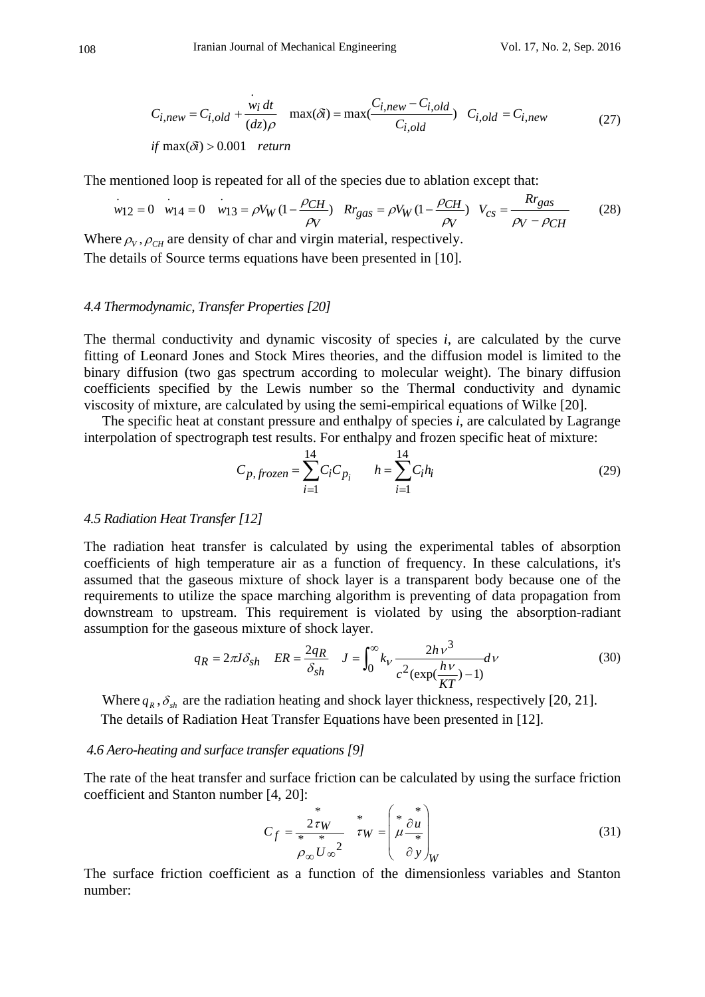$$
C_{i,new} = C_{i,old} + \frac{w_i dt}{(dz)\rho} \quad \max(\delta i) = \max(\frac{C_{i,new} - C_{i,old}}{C_{i,old}}) \quad C_{i,old} = C_{i,new}
$$
\n
$$
if \max(\delta i) > 0.001 \quad return \tag{27}
$$

The mentioned loop is repeated for all of the species due to ablation except that:

$$
w_{12} = 0 \t w_{14} = 0 \t w_{13} = \rho V_W (1 - \frac{\rho_{CH}}{\rho_V}) \t Rr_{gas} = \rho V_W (1 - \frac{\rho_{CH}}{\rho_V}) \t V_{cs} = \frac{Rr_{gas}}{\rho_V - \rho_{CH}}
$$
(28)

Where  $\rho_V$ ,  $\rho_{CH}$  are density of char and virgin material, respectively.

The details of Source terms equations have been presented in [10].

## *4.4 Thermodynamic, Transfer Properties [20]*

The thermal conductivity and dynamic viscosity of species *i*, are calculated by the curve fitting of Leonard Jones and Stock Mires theories, and the diffusion model is limited to the binary diffusion (two gas spectrum according to molecular weight). The binary diffusion coefficients specified by the Lewis number so the Thermal conductivity and dynamic viscosity of mixture, are calculated by using the semi-empirical equations of Wilke [20].

The specific heat at constant pressure and enthalpy of species *i*, are calculated by Lagrange interpolation of spectrograph test results. For enthalpy and frozen specific heat of mixture:

$$
C_{p, frozen} = \sum_{i=1}^{14} C_i C_{p_i} \qquad h = \sum_{i=1}^{14} C_i h_i
$$
 (29)

#### *4.5 Radiation Heat Transfer [12]*

The radiation heat transfer is calculated by using the experimental tables of absorption coefficients of high temperature air as a function of frequency. In these calculations, it's assumed that the gaseous mixture of shock layer is a transparent body because one of the requirements to utilize the space marching algorithm is preventing of data propagation from downstream to upstream. This requirement is violated by using the absorption-radiant assumption for the gaseous mixture of shock layer.

$$
q_R = 2\pi J \delta_{sh} \quad ER = \frac{2q_R}{\delta_{sh}} \quad J = \int_0^\infty k_V \frac{2h\nu^3}{c^2(\exp(\frac{h\nu}{KT}) - 1)} d\nu \tag{30}
$$

Where  $q_R$ ,  $\delta_{sh}$  are the radiation heating and shock layer thickness, respectively [20, 21]. The details of Radiation Heat Transfer Equations have been presented in [12].

#### *4.6 Aero-heating and surface transfer equations [9]*

The rate of the heat transfer and surface friction can be calculated by using the surface friction coefficient and Stanton number [4, 20]:

$$
C_f = \frac{2\tau W}{\mu \omega^2} \qquad \tau W = \begin{pmatrix} * & * \\ * & \partial u \\ * & * \\ \partial v \end{pmatrix} \qquad (31)
$$

The surface friction coefficient as a function of the dimensionless variables and Stanton number: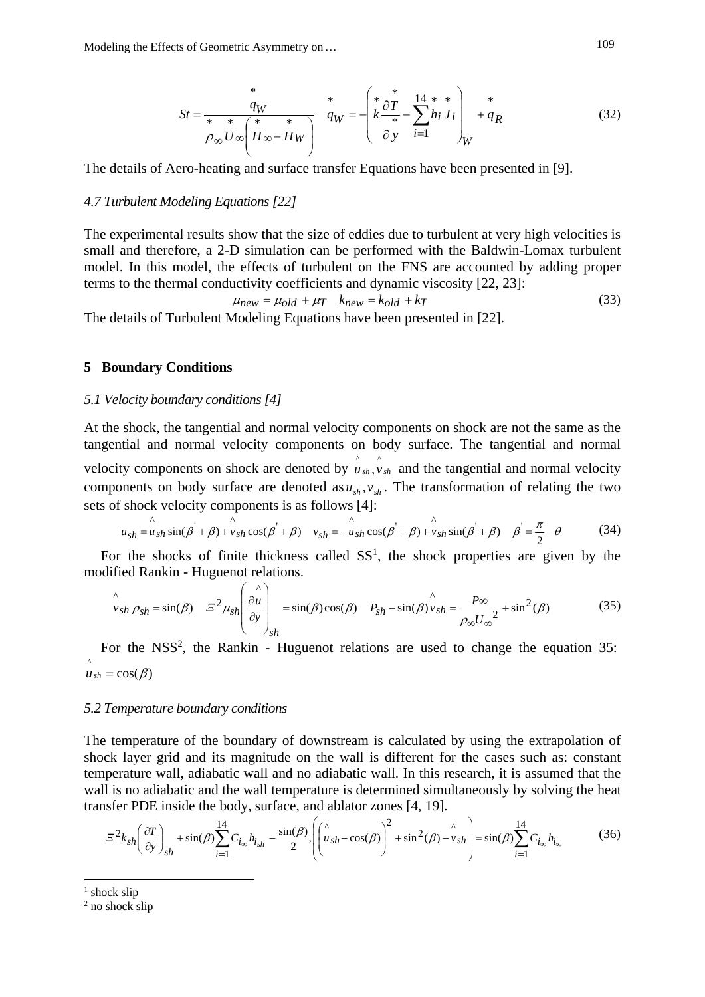$$
St = \frac{q_W}{\rho_\infty U_\infty \left(H_\infty - H_W\right)} \quad \stackrel{*}{q_W} = -\left(\stackrel{*}{k} \frac{\partial T}{\partial y} - \sum_{i=1}^{14} h_i J_i \right)_W \stackrel{*}{+q_R} \tag{32}
$$

The details of Aero-heating and surface transfer Equations have been presented in [9].

#### *4.7 Turbulent Modeling Equations [22]*

The experimental results show that the size of eddies due to turbulent at very high velocities is small and therefore, a 2-D simulation can be performed with the Baldwin-Lomax turbulent model. In this model, the effects of turbulent on the FNS are accounted by adding proper terms to the thermal conductivity coefficients and dynamic viscosity [22, 23]:

$$
\mu_{new} = \mu_{old} + \mu_T \quad k_{new} = k_{old} + k_T \tag{33}
$$

The details of Turbulent Modeling Equations have been presented in [22].

#### **5 Boundary Conditions**

# *5.1 Velocity boundary conditions [4]*

At the shock, the tangential and normal velocity components on shock are not the same as the tangential and normal velocity components on body surface. The tangential and normal velocity components on shock are denoted by  $\hat{u}_{sh}$ ,  $\hat{v}_{sh}$  and the tangential and normal velocity components on body surface are denoted as  $u_{sh}$ ,  $v_{sh}$ . The transformation of relating the two sets of shock velocity components is as follows [4]:

$$
u_{sh} = u_{sh} \sin(\beta + \beta) + v_{sh} \cos(\beta + \beta) \quad v_{sh} = -u_{sh} \cos(\beta + \beta) + v_{sh} \sin(\beta + \beta) \quad \beta' = \frac{\pi}{2} - \theta \tag{34}
$$

For the shocks of finite thickness called  $SS<sup>1</sup>$ , the shock properties are given by the modified Rankin - Huguenot relations.

$$
\hat{v}_{sh} \rho_{sh} = \sin(\beta) \quad \Xi^2 \mu_{sh} \left( \frac{\partial u}{\partial y} \right)_{sh} = \sin(\beta)\cos(\beta) \quad P_{sh} - \sin(\beta)\hat{v}_{sh} = \frac{P\infty}{\rho_{\infty}U_{\infty}^2} + \sin^2(\beta) \tag{35}
$$

For the NSS<sup>2</sup>, the Rankin - Huguenot relations are used to change the equation 35:  $\hat{u}_{sh} = \cos(\beta)$ 

#### *5.2 Temperature boundary conditions*

The temperature of the boundary of downstream is calculated by using the extrapolation of shock layer grid and its magnitude on the wall is different for the cases such as: constant temperature wall, adiabatic wall and no adiabatic wall. In this research, it is assumed that the wall is no adiabatic and the wall temperature is determined simultaneously by solving the heat transfer PDE inside the body, surface, and ablator zones [4, 19].

$$
\Xi^2 k_{sh} \left(\frac{\partial T}{\partial y}\right)_{sh} + \sin(\beta) \sum_{i=1}^{14} C_{i_{\infty}} h_{i_{sh}} - \frac{\sin(\beta)}{2} \left( \left( \mu_{sh} - \cos(\beta) \right)^2 + \sin^2(\beta) - \mu_{sh} \right) = \sin(\beta) \sum_{i=1}^{14} C_{i_{\infty}} h_{i_{\infty}}
$$
(36)

<sup>&</sup>lt;sup>1</sup> shock slip

<sup>2</sup> no shock slip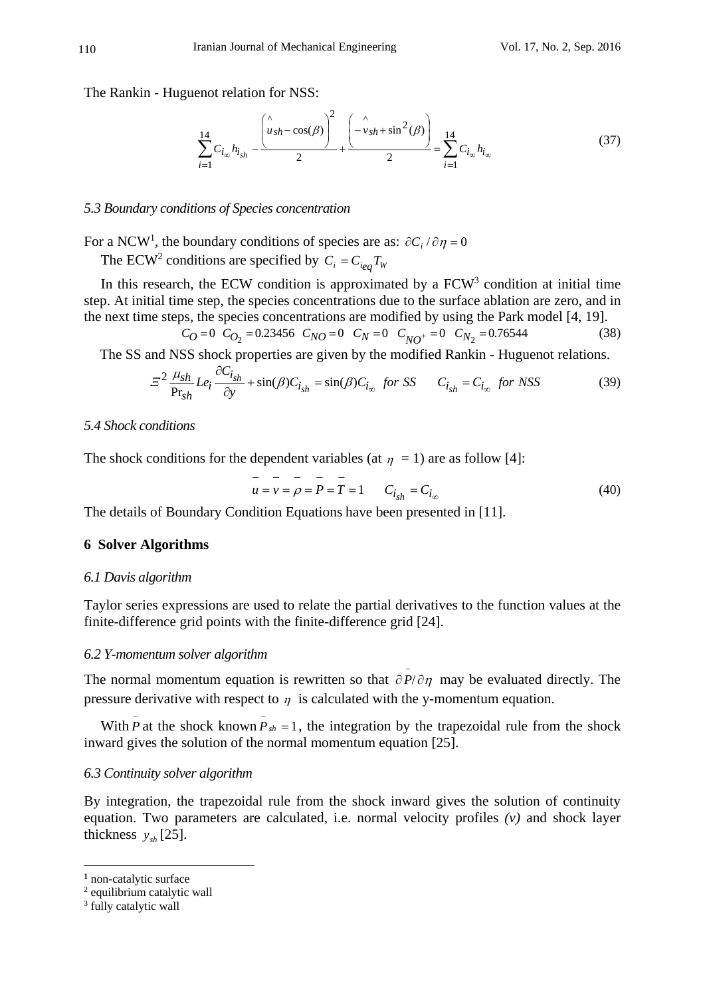The Rankin - Huguenot relation for NSS:

$$
\sum_{i=1}^{14} C_{i_{\infty}} h_{i_{sh}} - \frac{\left(\mu_{sh} - \cos(\beta)\right)^2}{2} + \frac{\left(-\nu_{sh} + \sin^2(\beta)\right)}{2} = \sum_{i=1}^{14} C_{i_{\infty}} h_{i_{\infty}}
$$
(37)

#### *5.3 Boundary conditions of Species concentration*

For a NCW<sup>1</sup>, the boundary conditions of species are as:  $\partial C_i / \partial \eta = 0$ 

The ECW<sup>2</sup> conditions are specified by  $C_i = C_{ieq} T_w$ 

In this research, the ECW condition is approximated by a  $FCW<sup>3</sup>$  condition at initial time step. At initial time step, the species concentrations due to the surface ablation are zero, and in the next time steps, the species concentrations are modified by using the Park model [4, 19].

$$
C_O = 0 \quad C_{O_2} = 0.23456 \quad C_{NO} = 0 \quad C_N = 0 \quad C_{NO^+} = 0 \quad C_{N_2} = 0.76544 \tag{38}
$$

The SS and NSS shock properties are given by the modified Rankin - Huguenot relations.

$$
\Sigma^2 \frac{\mu_{sh}}{\text{Pr}_{sh}} Le_i \frac{\partial C_{i_{sh}}}{\partial y} + \sin(\beta) C_{i_{sh}} = \sin(\beta) C_{i_{\infty}} \quad \text{for } SS \qquad C_{i_{sh}} = C_{i_{\infty}} \quad \text{for } NSS \tag{39}
$$

## *5.4 Shock conditions*

The shock conditions for the dependent variables (at  $\eta = 1$ ) are as follow [4]:

$$
u = v = \rho = P = T = 1 \qquad C_{i_{sh}} = C_{i_{\infty}}
$$
 (40)

The details of Boundary Condition Equations have been presented in [11].

#### **6 Solver Algorithms**

### *6.1 Davis algorithm*

Taylor series expressions are used to relate the partial derivatives to the function values at the finite-difference grid points with the finite-difference grid [24].

#### *6.2 Y-momentum solver algorithm*

The normal momentum equation is rewritten so that  $\partial P/\partial \eta$  may be evaluated directly. The pressure derivative with respect to  $\eta$  is calculated with the y-momentum equation.

With  $\overline{P}$  at the shock known  $\overline{P}_{sh} = 1$ , the integration by the trapezoidal rule from the shock inward gives the solution of the normal momentum equation [25].

# *6.3 Continuity solver algorithm*

By integration, the trapezoidal rule from the shock inward gives the solution of continuity equation. Two parameters are calculated, i.e. normal velocity profiles *(v)* and shock layer thickness  $y_{sh}$  [25].

**<sup>1</sup>** non-catalytic surface

<sup>2</sup> equilibrium catalytic wall

<sup>&</sup>lt;sup>3</sup> fully catalytic wall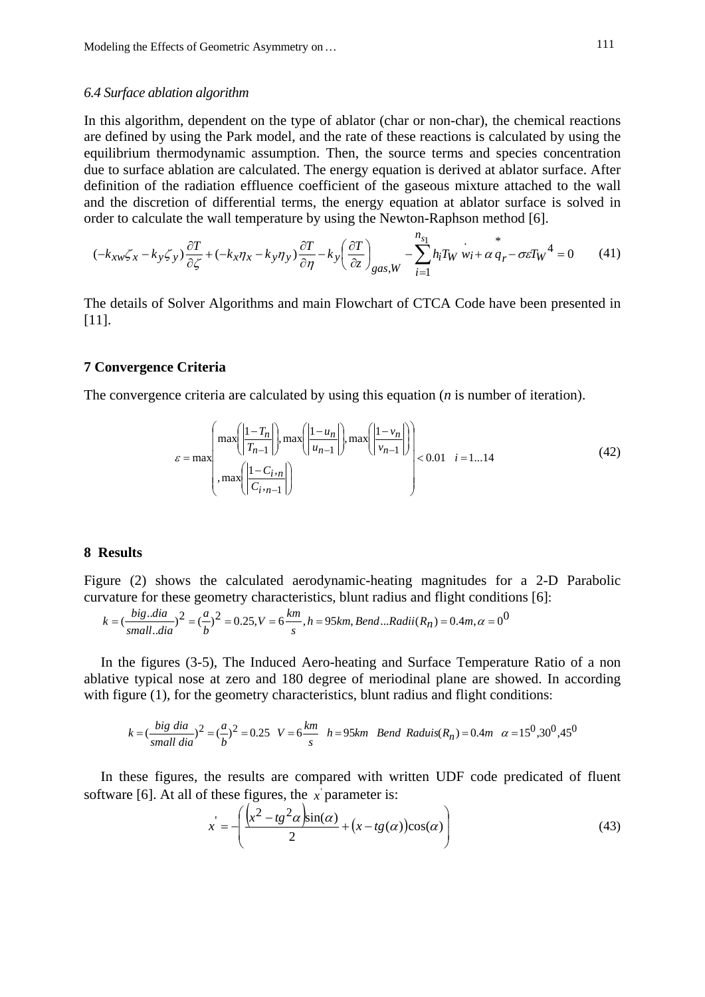#### *6.4 Surface ablation algorithm*

In this algorithm, dependent on the type of ablator (char or non-char), the chemical reactions are defined by using the Park model, and the rate of these reactions is calculated by using the equilibrium thermodynamic assumption. Then, the source terms and species concentration due to surface ablation are calculated. The energy equation is derived at ablator surface. After definition of the radiation effluence coefficient of the gaseous mixture attached to the wall and the discretion of differential terms, the energy equation at ablator surface is solved in order to calculate the wall temperature by using the Newton-Raphson method [6].

$$
(-k_{xw}\zeta_x - k_y \zeta_y) \frac{\partial T}{\partial \zeta} + (-k_x \eta_x - k_y \eta_y) \frac{\partial T}{\partial \eta} - k_y \left(\frac{\partial T}{\partial z}\right)_{\text{gas},W} - \sum_{i=1}^{n_{s_1}} h_i T_W \dot{w}_i + \alpha \dot{q}_r - \sigma \varepsilon T_W^4 = 0 \tag{41}
$$

The details of Solver Algorithms and main Flowchart of CTCA Code have been presented in [11].

## **7 Convergence Criteria**

The convergence criteria are calculated by using this equation (*n* is number of iteration).

$$
\varepsilon = \max\left(\frac{\max\left(\left|\frac{1-T_n}{T_{n-1}}\right|\right), \max\left(\left|\frac{1-u_n}{u_{n-1}}\right|\right), \max\left(\left|\frac{1-v_n}{v_{n-1}}\right|\right)\right)}{\max\left(\left|\frac{1-C_{i\cdot n}}{C_{i\cdot n-1}}\right|\right)}, \max\left(\left|\frac{1-v_n}{v_{n-1}}\right|\right)\right)<0.01 \quad i=1...14
$$
\n(42)

*s n*

# **8 Results**

Figure (2) shows the calculated aerodynamic-heating magnitudes for a 2-D Parabolic curvature for these geometry characteristics, blunt radius and flight conditions [6]:

$$
k = \left(\frac{big \cdot dia}{small \cdot dia}\right)^2 = \left(\frac{a}{b}\right)^2 = 0.25, V = 6\frac{km}{s}, h = 95km, Bend \dots Radii(R_n) = 0.4m, \alpha = 0^{\text{O}}
$$

In the figures (3-5), The Induced Aero-heating and Surface Temperature Ratio of a non ablative typical nose at zero and 180 degree of meriodinal plane are showed. In according with figure (1), for the geometry characteristics, blunt radius and flight conditions:

$$
k = \left(\frac{big\; dia}{small\; dia}\right)^2 = \left(\frac{a}{b}\right)^2 = 0.25 \quad V = 6\frac{km}{s} \quad h = 95km \quad Bend \; Radius(R_n) = 0.4m \quad \alpha = 15^{\circ}, 30^{\circ}, 45^{\circ}
$$

In these figures, the results are compared with written UDF code predicated of fluent software [6]. At all of these figures, the  $x$  parameter is:

$$
x' = -\left(\frac{\left(x^2 - tg^2\alpha\right)\sin(\alpha)}{2} + \left(x - tg(\alpha)\right)\cos(\alpha)\right)
$$
(43)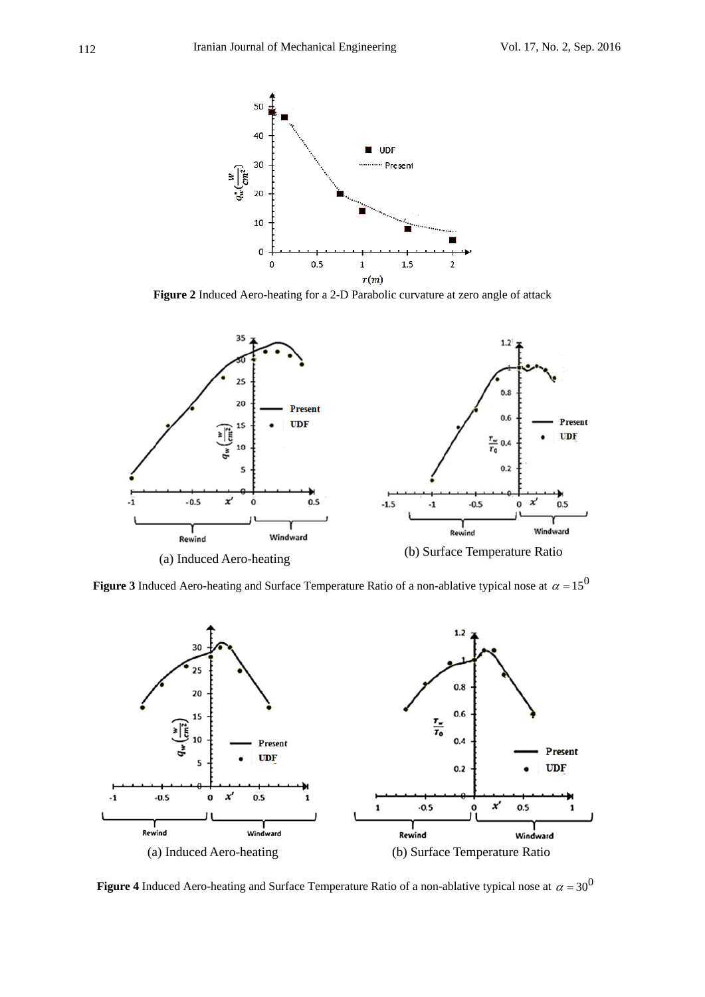

**Figure 2** Induced Aero-heating for a 2-D Parabolic curvature at zero angle of attack



**Figure 3** Induced Aero-heating and Surface Temperature Ratio of a non-ablative typical nose at  $\alpha = 15^0$ 



**Figure 4** Induced Aero-heating and Surface Temperature Ratio of a non-ablative typical nose at  $\alpha = 30^0$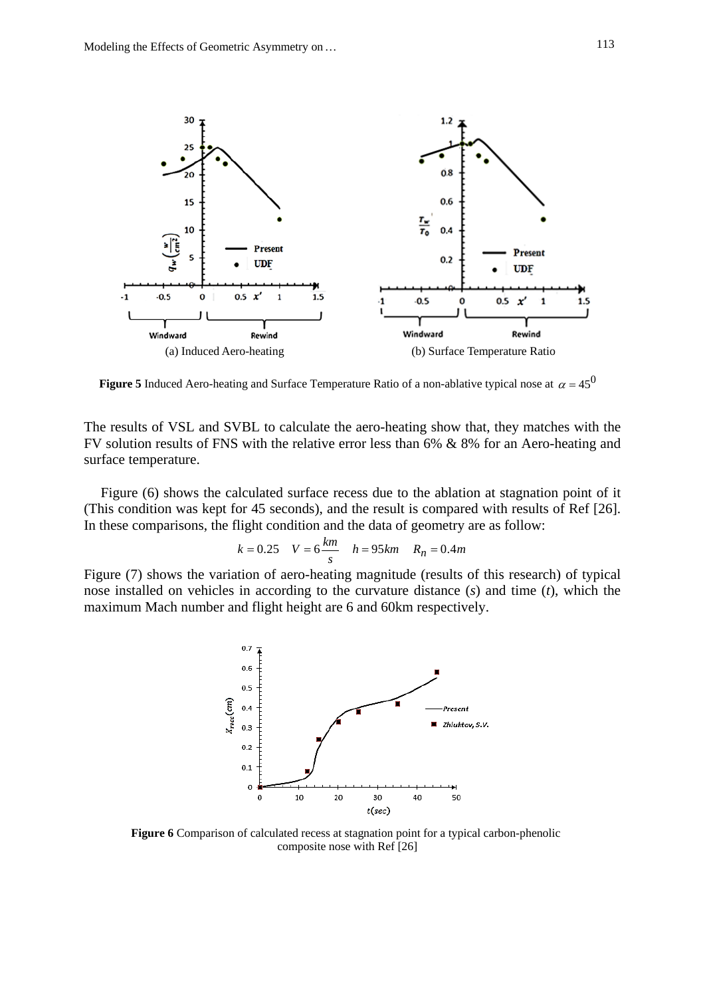

**Figure 5** Induced Aero-heating and Surface Temperature Ratio of a non-ablative typical nose at  $\alpha = 45^{\circ}$ 

The results of VSL and SVBL to calculate the aero-heating show that, they matches with the FV solution results of FNS with the relative error less than 6% & 8% for an Aero-heating and surface temperature.

Figure (6) shows the calculated surface recess due to the ablation at stagnation point of it (This condition was kept for 45 seconds), and the result is compared with results of Ref [26]. In these comparisons, the flight condition and the data of geometry are as follow:

$$
k = 0.25
$$
  $V = 6 \frac{km}{s}$   $h = 95 km$   $R_n = 0.4m$ 

Figure (7) shows the variation of aero-heating magnitude (results of this research) of typical nose installed on vehicles in according to the curvature distance (*s*) and time (*t*), which the maximum Mach number and flight height are 6 and 60km respectively.



**Figure 6** Comparison of calculated recess at stagnation point for a typical carbon-phenolic composite nose with Ref [26]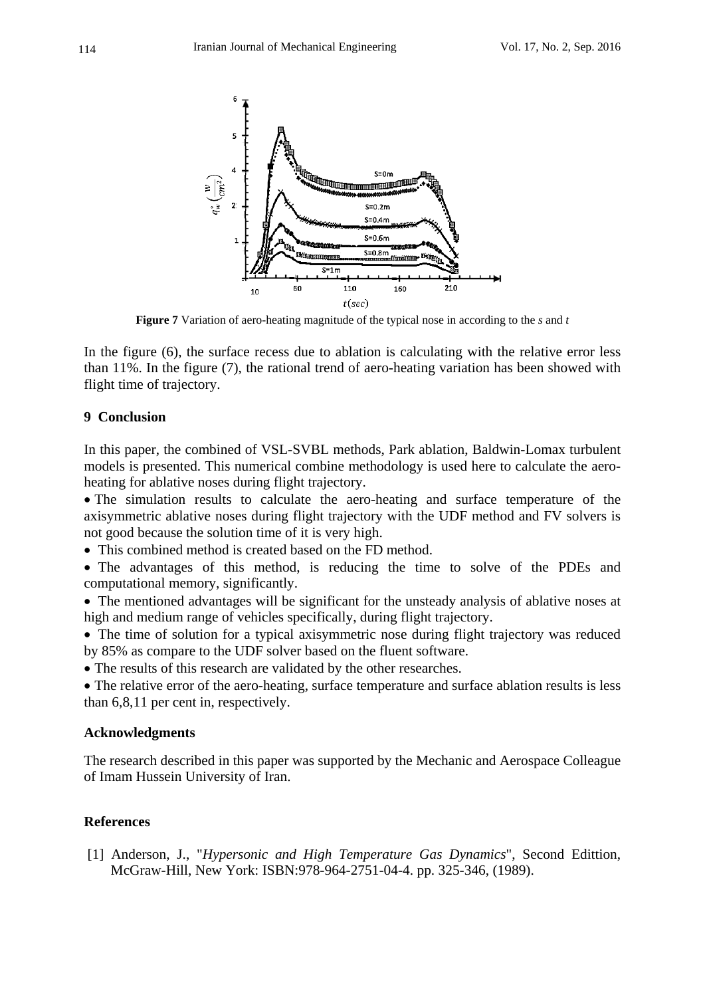

**Figure 7** Variation of aero-heating magnitude of the typical nose in according to the *s* and *t*

In the figure (6), the surface recess due to ablation is calculating with the relative error less than 11%. In the figure (7), the rational trend of aero-heating variation has been showed with flight time of trajectory.

# **9 Conclusion**

In this paper, the combined of VSL-SVBL methods, Park ablation, Baldwin-Lomax turbulent models is presented. This numerical combine methodology is used here to calculate the aeroheating for ablative noses during flight trajectory.

 The simulation results to calculate the aero-heating and surface temperature of the axisymmetric ablative noses during flight trajectory with the UDF method and FV solvers is not good because the solution time of it is very high.

This combined method is created based on the FD method.

 The advantages of this method, is reducing the time to solve of the PDEs and computational memory, significantly.

 The mentioned advantages will be significant for the unsteady analysis of ablative noses at high and medium range of vehicles specifically, during flight trajectory.

 The time of solution for a typical axisymmetric nose during flight trajectory was reduced by 85% as compare to the UDF solver based on the fluent software.

• The results of this research are validated by the other researches.

 The relative error of the aero-heating, surface temperature and surface ablation results is less than 6,8,11 per cent in, respectively.

# **Acknowledgments**

The research described in this paper was supported by the Mechanic and Aerospace Colleague of Imam Hussein University of Iran.

# **References**

 [1] Anderson, J., "*Hypersonic and High Temperature Gas Dynamics*", Second Edittion, McGraw-Hill, New York: ISBN:978-964-2751-04-4. pp. 325-346, (1989).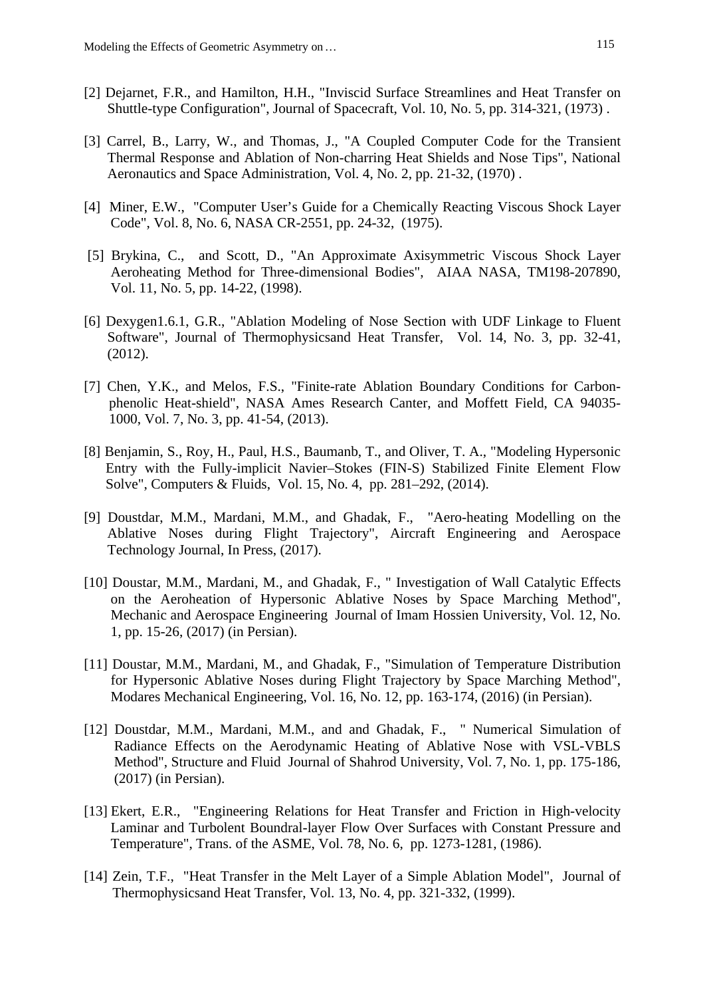- [2] Dejarnet, F.R., and Hamilton, H.H., "Inviscid Surface Streamlines and Heat Transfer on Shuttle-type Configuration", Journal of Spacecraft, Vol. 10, No. 5, pp. 314-321, (1973) .
- [3] Carrel, B., Larry, W., and Thomas, J., "A Coupled Computer Code for the Transient Thermal Response and Ablation of Non-charring Heat Shields and Nose Tips", National Aeronautics and Space Administration, Vol. 4, No. 2, pp. 21-32, (1970) .
- [4] Miner, E.W., "Computer User's Guide for a Chemically Reacting Viscous Shock Layer Code", Vol. 8, No. 6, NASA CR-2551, pp. 24-32, (1975).
- [5] Brykina, C., and Scott, D., "An Approximate Axisymmetric Viscous Shock Layer Aeroheating Method for Three-dimensional Bodies", AIAA NASA, TM198-207890, Vol. 11, No. 5, pp. 14-22, (1998).
- [6] Dexygen1.6.1, G.R., "Ablation Modeling of Nose Section with UDF Linkage to Fluent Software", Journal of Thermophysicsand Heat Transfer, Vol. 14, No. 3, pp. 32-41, (2012).
- [7] Chen, Y.K., and Melos, F.S., "Finite-rate Ablation Boundary Conditions for Carbonphenolic Heat-shield", NASA Ames Research Canter, and Moffett Field, CA 94035- 1000, Vol. 7, No. 3, pp. 41-54, (2013).
- [8] Benjamin, S., Roy, H., Paul, H.S., Baumanb, T., and Oliver, T. A., "Modeling Hypersonic Entry with the Fully-implicit Navier–Stokes (FIN-S) Stabilized Finite Element Flow Solve", Computers & Fluids, Vol. 15, No. 4, pp. 281–292, (2014).
- [9] Doustdar, M.M., Mardani, M.M., and Ghadak, F., "Aero-heating Modelling on the Ablative Noses during Flight Trajectory", Aircraft Engineering and Aerospace Technology Journal, In Press, (2017).
- [10] Doustar, M.M., Mardani, M., and Ghadak, F., " Investigation of Wall Catalytic Effects on the Aeroheation of Hypersonic Ablative Noses by Space Marching Method", Mechanic and Aerospace Engineering Journal of Imam Hossien University, Vol. 12, No. 1, pp. 15-26, (2017) (in Persian).
- [11] Doustar, M.M., Mardani, M., and Ghadak, F., "Simulation of Temperature Distribution for Hypersonic Ablative Noses during Flight Trajectory by Space Marching Method", Modares Mechanical Engineering, Vol. 16, No. 12, pp. 163-174, (2016) (in Persian).
- [12] Doustdar, M.M., Mardani, M.M., and and Ghadak, F., " Numerical Simulation of Radiance Effects on the Aerodynamic Heating of Ablative Nose with VSL-VBLS Method", Structure and Fluid Journal of Shahrod University, Vol. 7, No. 1, pp. 175-186, (2017) (in Persian).
- [13] Ekert, E.R., "Engineering Relations for Heat Transfer and Friction in High-velocity Laminar and Turbolent Boundral-layer Flow Over Surfaces with Constant Pressure and Temperature", Trans. of the ASME, Vol. 78, No. 6, pp. 1273-1281, (1986).
- [14] Zein, T.F., "Heat Transfer in the Melt Layer of a Simple Ablation Model", Journal of Thermophysicsand Heat Transfer, Vol. 13, No. 4, pp. 321-332, (1999).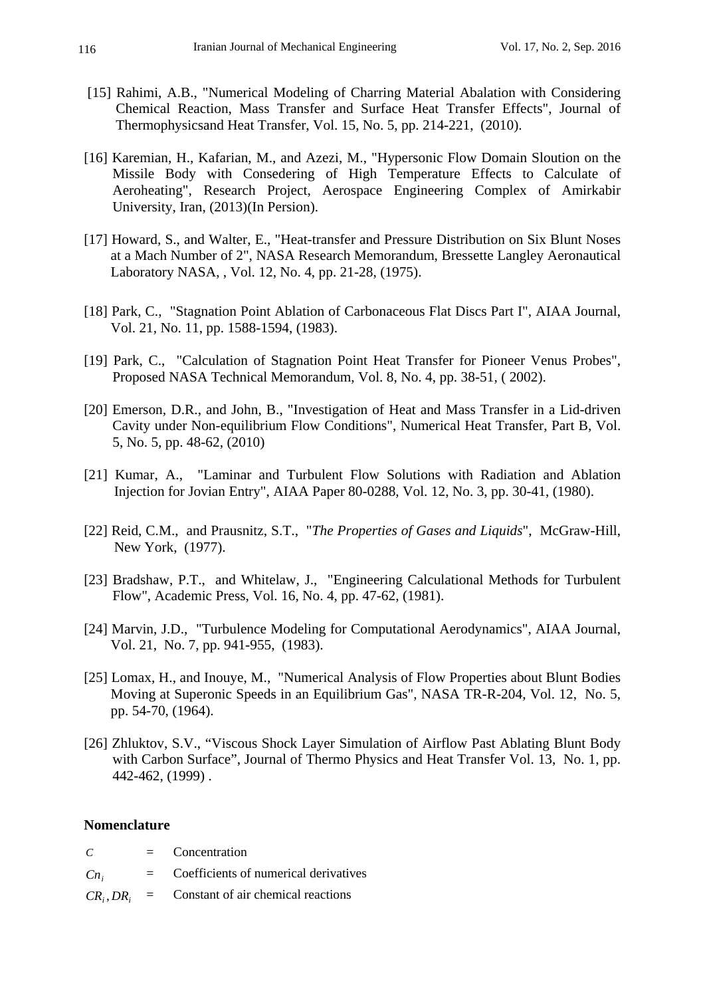- [15] Rahimi, A.B., "Numerical Modeling of Charring Material Abalation with Considering Chemical Reaction, Mass Transfer and Surface Heat Transfer Effects", Journal of Thermophysicsand Heat Transfer, Vol. 15, No. 5, pp. 214-221, (2010).
- [16] Karemian, H., Kafarian, M., and Azezi, M., "Hypersonic Flow Domain Sloution on the Missile Body with Consedering of High Temperature Effects to Calculate of Aeroheating", Research Project, Aerospace Engineering Complex of Amirkabir University, Iran, (2013)(In Persion).
- [17] Howard, S., and Walter, E., "Heat-transfer and Pressure Distribution on Six Blunt Noses at a Mach Number of 2", NASA Research Memorandum, Bressette Langley Aeronautical Laboratory NASA, , Vol. 12, No. 4, pp. 21-28, (1975).
- [18] Park, C., "Stagnation Point Ablation of Carbonaceous Flat Discs Part I", AIAA Journal, Vol. 21, No. 11, pp. 1588-1594, (1983).
- [19] Park, C., "Calculation of Stagnation Point Heat Transfer for Pioneer Venus Probes", Proposed NASA Technical Memorandum, Vol. 8, No. 4, pp. 38-51, ( 2002).
- [20] Emerson, D.R., and John, B., "Investigation of Heat and Mass Transfer in a Lid-driven Cavity under Non-equilibrium Flow Conditions", Numerical Heat Transfer, Part B, Vol. 5, No. 5, pp. 48-62, (2010)
- [21] Kumar, A., "Laminar and Turbulent Flow Solutions with Radiation and Ablation Injection for Jovian Entry", AIAA Paper 80-0288, Vol. 12, No. 3, pp. 30-41, (1980).
- [22] Reid, C.M., and Prausnitz, S.T., "*The Properties of Gases and Liquids*", McGraw-Hill, New York, (1977).
- [23] Bradshaw, P.T., and Whitelaw, J., "Engineering Calculational Methods for Turbulent Flow", Academic Press, Vol. 16, No. 4, pp. 47-62, (1981).
- [24] Marvin, J.D., "Turbulence Modeling for Computational Aerodynamics", AIAA Journal, Vol. 21, No. 7, pp. 941-955, (1983).
- [25] Lomax, H., and Inouye, M., "Numerical Analysis of Flow Properties about Blunt Bodies Moving at Superonic Speeds in an Equilibrium Gas", NASA TR-R-204, Vol. 12, No. 5, pp. 54-70, (1964).
- [26] Zhluktov, S.V., "Viscous Shock Layer Simulation of Airflow Past Ablating Blunt Body with Carbon Surface", Journal of Thermo Physics and Heat Transfer Vol. 13, No. 1, pp. 442-462, (1999) .

## **Nomenclature**

| C     | $=$ Concentration                                 |
|-------|---------------------------------------------------|
| $C_n$ | $=$ Coefficients of numerical derivatives         |
|       | $CR_i, DR_i$ = Constant of air chemical reactions |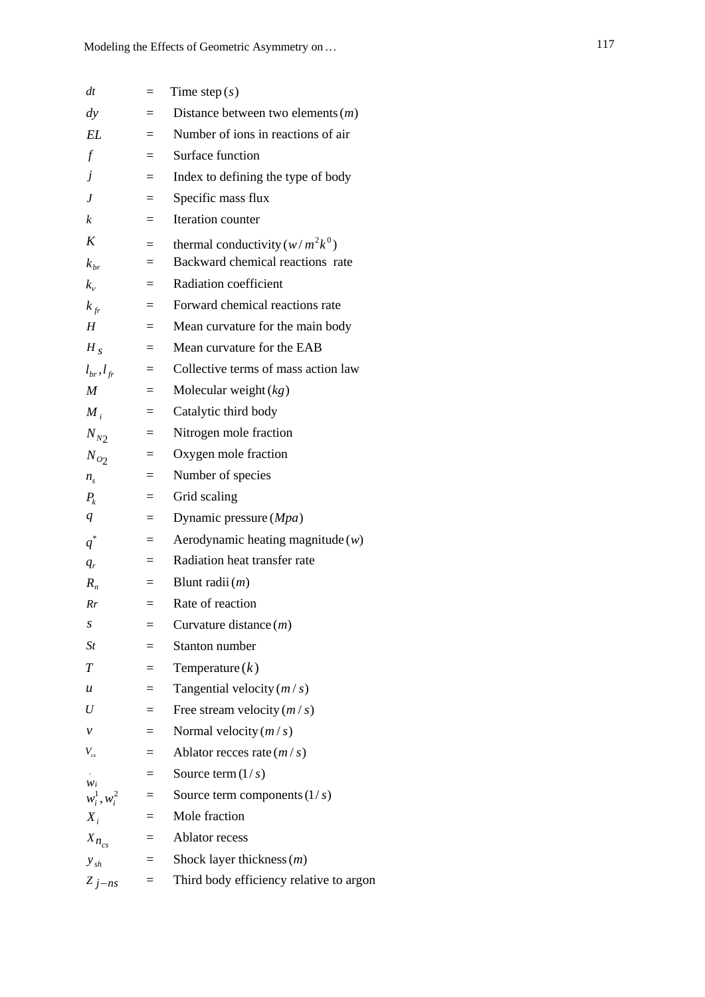| dt                                          | $=$ | Time step $(s)$                         |
|---------------------------------------------|-----|-----------------------------------------|
| $\frac{dy}{x}$                              |     | Distance between two elements $(m)$     |
| EL                                          | $=$ | Number of ions in reactions of air      |
| $\boldsymbol{f}$                            | $=$ | Surface function                        |
| $\dot{J}$                                   | $=$ | Index to defining the type of body      |
| J                                           | $=$ | Specific mass flux                      |
| k                                           | $=$ | Iteration counter                       |
| K                                           | $=$ | thermal conductivity $(w/m^2k^0)$       |
| $k_{\scriptscriptstyle br}$                 | $=$ | Backward chemical reactions rate        |
| $k_{\nu}$                                   | $=$ | Radiation coefficient                   |
| $k_{fr}$                                    | $=$ | Forward chemical reactions rate         |
| H                                           | $=$ | Mean curvature for the main body        |
| $H_{S}$                                     | $=$ | Mean curvature for the EAB              |
| $l_{br}$ , $l_{fr}$                         | $=$ | Collective terms of mass action law     |
| M                                           | $=$ | Molecular weight $(kg)$                 |
| $M_i$                                       | $=$ | Catalytic third body                    |
| $N_{N2}$                                    | $=$ | Nitrogen mole fraction                  |
| $N_{O2}$                                    | $=$ | Oxygen mole fraction                    |
| $n_{\rm s}$                                 | $=$ | Number of species                       |
| $P_{k}$                                     | $=$ | Grid scaling                            |
| q                                           | $=$ | Dynamic pressure $(Mpa)$                |
| $q^*$                                       | $=$ | Aerodynamic heating magnitude $(w)$     |
| $q_r$                                       | $=$ | Radiation heat transfer rate            |
| $R_{n}$                                     | $=$ | Blunt radii $(m)$                       |
| Rr                                          | $=$ | Rate of reaction                        |
| S                                           |     | Curvature distance $(m)$                |
| St                                          |     | Stanton number                          |
| T                                           |     | Temperature $(k)$                       |
| $\boldsymbol{u}$                            | $=$ | Tangential velocity $(m/s)$             |
| U                                           | $=$ | Free stream velocity $(m/s)$            |
| ν                                           | $=$ | Normal velocity $(m/s)$                 |
| $V_{cs}$                                    | $=$ | Ablator recces rate $(m/s)$             |
|                                             | $=$ | Source term $(1/s)$                     |
| $W_i$<br>$w_i^1, w_i^2$                     | $=$ | Source term components $(1/s)$          |
| $X_i$                                       | $=$ | Mole fraction                           |
| $\boldsymbol{X}_{\textit{\textbf{n}}_{cs}}$ | Ξ   | <b>Ablator</b> recess                   |
| $y_{sh}$                                    | $=$ | Shock layer thickness $(m)$             |
| $Z_{j-ns}$                                  | $=$ | Third body efficiency relative to argon |
|                                             |     |                                         |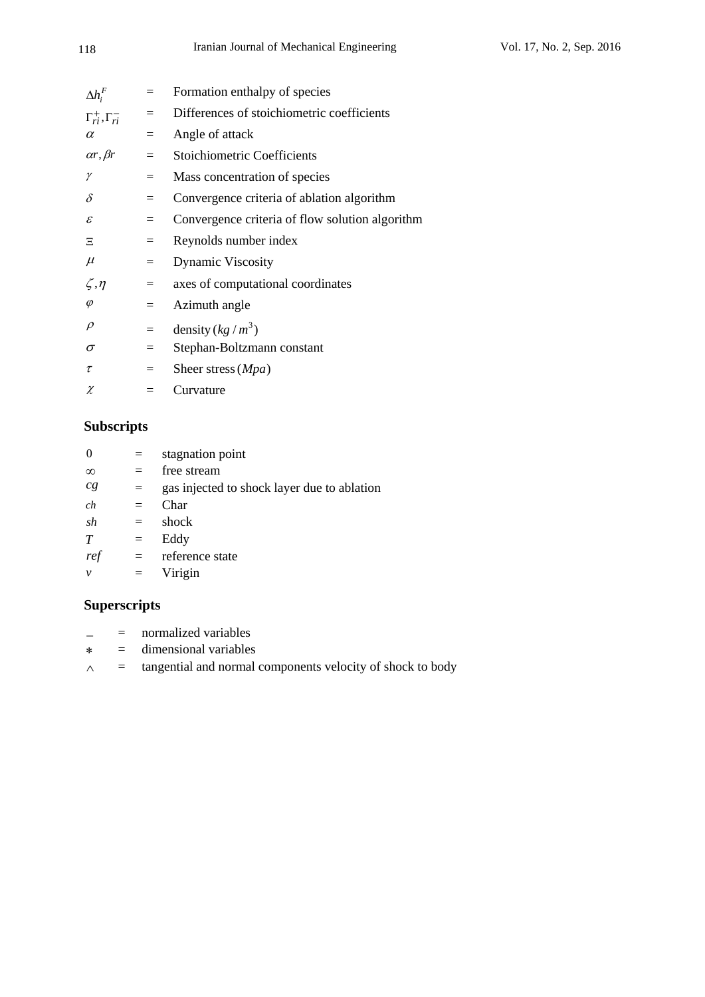| $\Delta h_i^F$                    | $=$ | Formation enthalpy of species                   |
|-----------------------------------|-----|-------------------------------------------------|
| $\Gamma_{ri}^+$ , $\Gamma_{ri}^-$ | $=$ | Differences of stoichiometric coefficients      |
| $\alpha$                          | $=$ | Angle of attack                                 |
| $\alpha r, \beta r$               | $=$ | Stoichiometric Coefficients                     |
| γ                                 | $=$ | Mass concentration of species                   |
| $\delta$                          | $=$ | Convergence criteria of ablation algorithm      |
| $\mathcal E$                      | $=$ | Convergence criteria of flow solution algorithm |
| Ξ                                 | $=$ | Reynolds number index                           |
| $\mu$                             | $=$ | <b>Dynamic Viscosity</b>                        |
| $\zeta$ , $\eta$                  | $=$ | axes of computational coordinates               |
| $\varphi$                         | $=$ | Azimuth angle                                   |
| $\rho$                            | $=$ | density $(kg/m^3)$                              |
| $\sigma$                          | $=$ | Stephan-Boltzmann constant                      |
| τ                                 | $=$ | Sheer stress $(Mpa)$                            |
| χ                                 |     | Curvature                                       |
|                                   |     |                                                 |

# **Subscripts**

| $\Omega$          | $=$ | stagnation point                            |
|-------------------|-----|---------------------------------------------|
| $\infty$          | $=$ | free stream                                 |
| $c_{\mathcal{S}}$ | $=$ | gas injected to shock layer due to ablation |
| ch                | $=$ | Char                                        |
| sh                | $=$ | shock                                       |
| T                 | $=$ | Eddy                                        |
| ref               | $=$ | reference state                             |
| $\mathcal V$      | $=$ | Virigin                                     |
|                   |     |                                             |

# **Superscripts**

- $=$  normalized variables
- $\ast$  = dimensional variables
- $\land$  = tangential and normal components velocity of shock to body